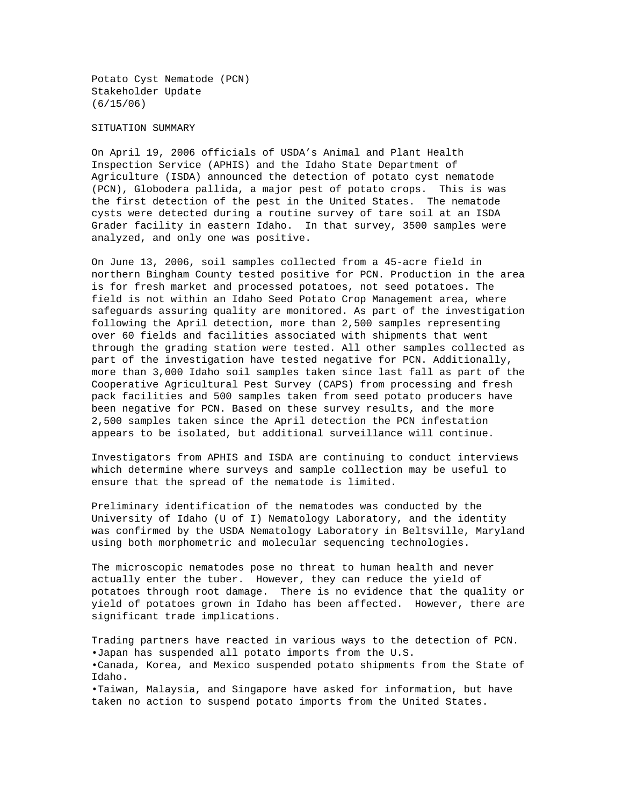Potato Cyst Nematode (PCN) Stakeholder Update (6/15/06)

## SITUATION SUMMARY

On April 19, 2006 officials of USDA's Animal and Plant Health Inspection Service (APHIS) and the Idaho State Department of Agriculture (ISDA) announced the detection of potato cyst nematode (PCN), Globodera pallida, a major pest of potato crops. This is was the first detection of the pest in the United States. The nematode cysts were detected during a routine survey of tare soil at an ISDA Grader facility in eastern Idaho. In that survey, 3500 samples were analyzed, and only one was positive.

On June 13, 2006, soil samples collected from a 45-acre field in northern Bingham County tested positive for PCN. Production in the area is for fresh market and processed potatoes, not seed potatoes. The field is not within an Idaho Seed Potato Crop Management area, where safeguards assuring quality are monitored. As part of the investigation following the April detection, more than 2,500 samples representing over 60 fields and facilities associated with shipments that went through the grading station were tested. All other samples collected as part of the investigation have tested negative for PCN. Additionally, more than 3,000 Idaho soil samples taken since last fall as part of the Cooperative Agricultural Pest Survey (CAPS) from processing and fresh pack facilities and 500 samples taken from seed potato producers have been negative for PCN. Based on these survey results, and the more 2,500 samples taken since the April detection the PCN infestation appears to be isolated, but additional surveillance will continue.

Investigators from APHIS and ISDA are continuing to conduct interviews which determine where surveys and sample collection may be useful to ensure that the spread of the nematode is limited.

Preliminary identification of the nematodes was conducted by the University of Idaho (U of I) Nematology Laboratory, and the identity was confirmed by the USDA Nematology Laboratory in Beltsville, Maryland using both morphometric and molecular sequencing technologies.

The microscopic nematodes pose no threat to human health and never actually enter the tuber. However, they can reduce the yield of potatoes through root damage. There is no evidence that the quality or yield of potatoes grown in Idaho has been affected. However, there are significant trade implications.

Trading partners have reacted in various ways to the detection of PCN. •Japan has suspended all potato imports from the U.S. •Canada, Korea, and Mexico suspended potato shipments from the State of Idaho. •Taiwan, Malaysia, and Singapore have asked for information, but have taken no action to suspend potato imports from the United States.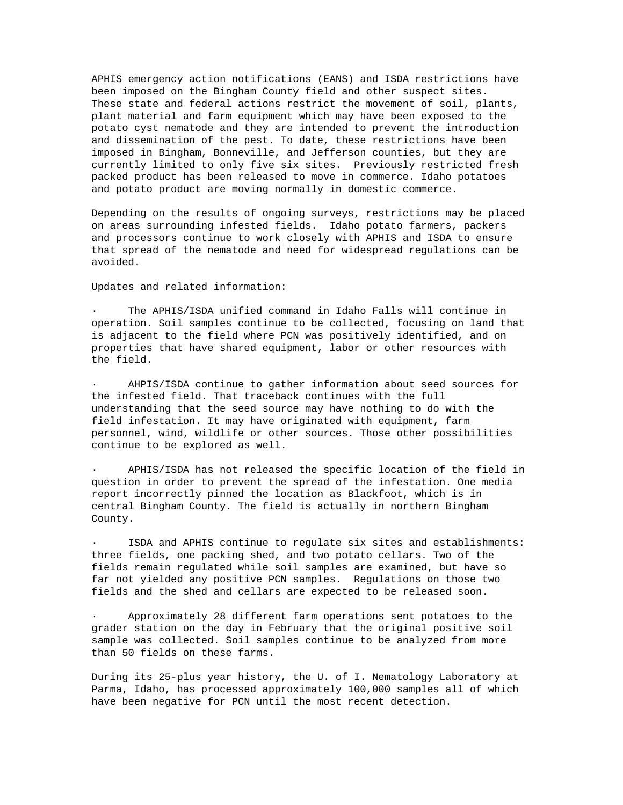APHIS emergency action notifications (EANS) and ISDA restrictions have been imposed on the Bingham County field and other suspect sites. These state and federal actions restrict the movement of soil, plants, plant material and farm equipment which may have been exposed to the potato cyst nematode and they are intended to prevent the introduction and dissemination of the pest. To date, these restrictions have been imposed in Bingham, Bonneville, and Jefferson counties, but they are currently limited to only five six sites. Previously restricted fresh packed product has been released to move in commerce. Idaho potatoes and potato product are moving normally in domestic commerce.

Depending on the results of ongoing surveys, restrictions may be placed on areas surrounding infested fields. Idaho potato farmers, packers and processors continue to work closely with APHIS and ISDA to ensure that spread of the nematode and need for widespread regulations can be avoided.

Updates and related information:

· The APHIS/ISDA unified command in Idaho Falls will continue in operation. Soil samples continue to be collected, focusing on land that is adjacent to the field where PCN was positively identified, and on properties that have shared equipment, labor or other resources with the field.

AHPIS/ISDA continue to gather information about seed sources for the infested field. That traceback continues with the full understanding that the seed source may have nothing to do with the field infestation. It may have originated with equipment, farm personnel, wind, wildlife or other sources. Those other possibilities continue to be explored as well.

· APHIS/ISDA has not released the specific location of the field in question in order to prevent the spread of the infestation. One media report incorrectly pinned the location as Blackfoot, which is in central Bingham County. The field is actually in northern Bingham County.

ISDA and APHIS continue to regulate six sites and establishments: three fields, one packing shed, and two potato cellars. Two of the fields remain regulated while soil samples are examined, but have so far not yielded any positive PCN samples. Regulations on those two fields and the shed and cellars are expected to be released soon.

· Approximately 28 different farm operations sent potatoes to the grader station on the day in February that the original positive soil sample was collected. Soil samples continue to be analyzed from more than 50 fields on these farms.

During its 25-plus year history, the U. of I. Nematology Laboratory at Parma, Idaho, has processed approximately 100,000 samples all of which have been negative for PCN until the most recent detection.